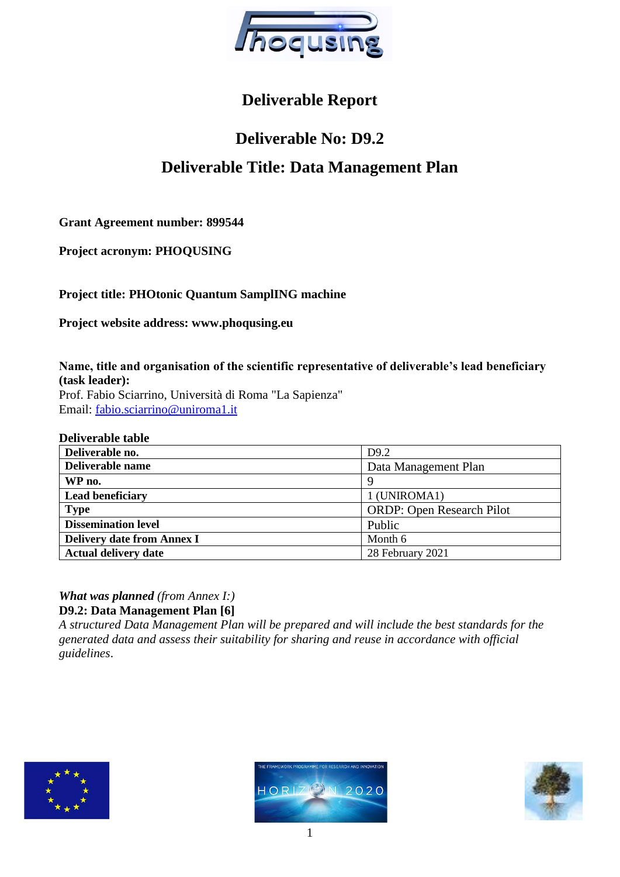

# **Deliverable Report**

# **Deliverable No: D9.2 Deliverable Title: Data Management Plan**

**Grant Agreement number: 899544**

**Project acronym: PHOQUSING**

**Project title: PHOtonic Quantum SamplING machine**

**Project website address: www.phoqusing.eu**

**Name, title and organisation of the scientific representative of deliverable's lead beneficiary (task leader):**  Prof. Fabio Sciarrino, Università di Roma "La Sapienza" Email: [fabio.sciarrino@uniroma1.it](mailto:fabio.sciarrino@uniroma1.it)

#### **Deliverable table**

| Deliverable no.                   | D <sub>9.2</sub>                 |
|-----------------------------------|----------------------------------|
| Deliverable name                  | Data Management Plan             |
| WP no.                            | 9                                |
| <b>Lead beneficiary</b>           | 1 (UNIROMA1)                     |
| <b>Type</b>                       | <b>ORDP: Open Research Pilot</b> |
| <b>Dissemination level</b>        | Public                           |
| <b>Delivery date from Annex I</b> | Month 6                          |
| <b>Actual delivery date</b>       | 28 February 2021                 |

*What was planned (from Annex I:)* **D9.2: Data Management Plan [6]** 

*A structured Data Management Plan will be prepared and will include the best standards for the generated data and assess their suitability for sharing and reuse in accordance with official guidelines*.





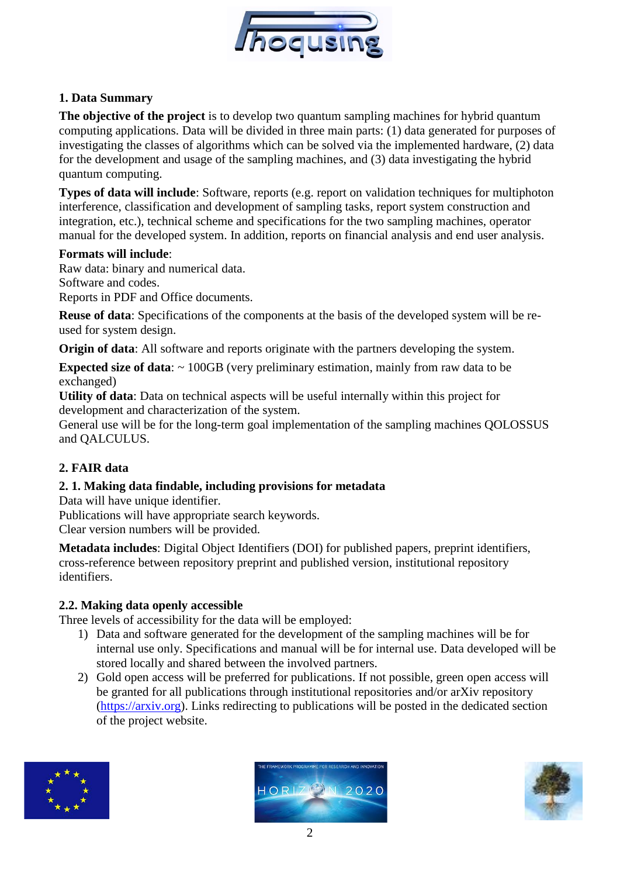

# **1. Data Summary**

**The objective of the project** is to develop two quantum sampling machines for hybrid quantum computing applications. Data will be divided in three main parts: (1) data generated for purposes of investigating the classes of algorithms which can be solved via the implemented hardware, (2) data for the development and usage of the sampling machines, and (3) data investigating the hybrid quantum computing.

**Types of data will include**: Software, reports (e.g. report on validation techniques for multiphoton interference, classification and development of sampling tasks, report system construction and integration, etc.), technical scheme and specifications for the two sampling machines, operator manual for the developed system. In addition, reports on financial analysis and end user analysis.

#### **Formats will include**:

Raw data: binary and numerical data. Software and codes. Reports in PDF and Office documents.

**Reuse of data**: Specifications of the components at the basis of the developed system will be reused for system design.

**Origin of data:** All software and reports originate with the partners developing the system.

**Expected size of data:**  $\sim 100GB$  (very preliminary estimation, mainly from raw data to be exchanged)

**Utility of data**: Data on technical aspects will be useful internally within this project for development and characterization of the system.

General use will be for the long-term goal implementation of the sampling machines QOLOSSUS and QALCULUS.

# **2. FAIR data**

## **2. 1. Making data findable, including provisions for metadata**

Data will have unique identifier.

Publications will have appropriate search keywords.

Clear version numbers will be provided.

**Metadata includes**: Digital Object Identifiers (DOI) for published papers, preprint identifiers, cross-reference between repository preprint and published version, institutional repository identifiers.

## **2.2. Making data openly accessible**

Three levels of accessibility for the data will be employed:

- 1) Data and software generated for the development of the sampling machines will be for internal use only. Specifications and manual will be for internal use. Data developed will be stored locally and shared between the involved partners.
- 2) Gold open access will be preferred for publications. If not possible, green open access will be granted for all publications through institutional repositories and/or arXiv repository [\(https://arxiv.org\)](https://arxiv.org/). Links redirecting to publications will be posted in the dedicated section of the project website.